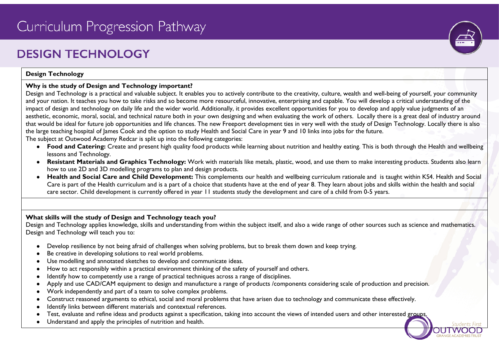# **DESIGN TECHNOLOGY**

# **Design Technology**

# **Why is the study of Design and Technology important?**

Design and Technology is a practical and valuable subject. It enables you to actively contribute to the creativity, culture, wealth and well-being of yourself, your community and your nation. It teaches you how to take risks and so become more resourceful, innovative, enterprising and capable. You will develop a critical understanding of the impact of design and technology on daily life and the wider world. Additionally, it provides excellent opportunities for you to develop and apply value judgments of an aesthetic, economic, moral, social, and technical nature both in your own designing and when evaluating the work of others. Locally there is a great deal of industry around that would be ideal for future job opportunities and life chances. The new Freeport development ties in very well with the study of Design Technology. Locally there is also the large teaching hospital of James Cook and the option to study Health and Social Care in year 9 and 10 links into jobs for the future. The subject at Outwood Academy Redcar is split up into the following categories:

- **Food and Catering:** Create and present high quality food products while learning about nutrition and healthy eating. This is both through the Health and wellbeing lessons and Technology.
- **Resistant Materials and Graphics Technology:** Work with materials like metals, plastic, wood, and use them to make interesting products. Students also learn how to use 2D and 3D modelling programs to plan and design products.
- **Health and Social Care and Child Development:** This complements our health and wellbeing curriculum rationale and is taught within KS4. Health and Social Care is part of the Health curriculum and is a part of a choice that students have at the end of year 8. They learn about jobs and skills within the health and social care sector. Child development is currently offered in year 11 students study the development and care of a child from 0-5 years.

# **What skills will the study of Design and Technology teach you?**

Design and Technology applies knowledge, skills and understanding from within the subject itself, and also a wide range of other sources such as science and mathematics. Design and Technology will teach you to:

- Develop resilience by not being afraid of challenges when solving problems, but to break them down and keep trying.
- Be creative in developing solutions to real world problems.
- Use modelling and annotated sketches to develop and communicate ideas.
- How to act responsibly within a practical environment thinking of the safety of yourself and others.
- Identify how to competently use a range of practical techniques across a range of disciplines.
- Apply and use CAD/CAM equipment to design and manufacture a range of products /components considering scale of production and precision.
- Work independently and part of a team to solve complex problems.
- Construct reasoned arguments to ethical, social and moral problems that have arisen due to technology and communicate these effectively.
- Identify links between different materials and contextual references.
- Test, evaluate and refine ideas and products against a specification, taking into account the views of intended users and other interested groups
- Understand and apply the principles of nutrition and health.

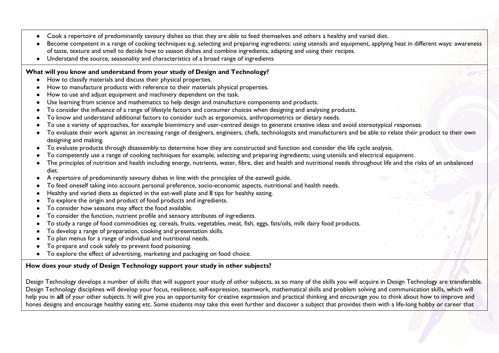- Cook a repertoire of predominantly savoury dishes so that they are able to feed themselves and others a healthy and varied diet.
- Become competent in a range of cooking techniques e.g. selecting and preparing ingredients: using utensils and equipment, applying heat in different ways: awareness of taste, texture and smell to decide how to season dishes and combine ingredients, adapting and using their recipes.
- Understand the source, seasonality and characteristics of a broad range of ingredients

### **What will you know and understand from your study of Design and Technology?**

- How to classify materials and discuss their physical properties.
- How to manufacture products with reference to their materials physical properties.
- How to use and adjust equipment and machinery dependent on the task.
- Use learning from science and mathematics to help design and manufacture components and products.
- To consider the influence of a range of lifestyle factors and consumer choices when designing and analysing products.
- To know and understand additional factors to consider such as ergonomics, anthropometrics or dietary needs.
- To use a variety of approaches, for example biomimicry and user-centred design to generate creative ideas and avoid stereotypical responses.
- To evaluate their work against an increasing range of designers, engineers, chefs, technologists and manufacturers and be able to relate their product to their own designing and making.
- To evaluate products through disassembly to determine how they are constructed and function and consider the life cycle analysis.
- To competently use a range of cooking techniques for example, selecting and preparing ingredients; using utensils and electrical equipment.
- The principles of nutrition and health including energy, nutrients, water, fibre, diet and health and nutritional needs throughout life and the risks of an unbalanced diet.
- A repertoire of predominantly savoury dishes in line with the principles of the eatwell guide.
- To feed oneself taking into account personal preference, socio-economic aspects, nutritional and health needs.
- Healthy and varied diets as depicted in the eat-well plate and 8 tips for healthy eating.
- To explore the origin and product of food products and ingredients.
- To consider how seasons may affect the food available.
- To consider the function, nutrient profile and sensory attributes of ingredients.
- To study a range of food commodities eg. cereals, fruits, vegetables, meat, fish, eggs, fats/oils, milk dairy food products.
- To develop a range of preparation, cooking and presentation skills.
- To plan menus for a range of individual and nutritional needs.
- To prepare and cook safely to prevent food poisoning.
- To explore the effect of advertising, marketing and packaging on food choice.

# **How does your study of Design Technology support your study in other subjects?**

Design Technology develops a number of skills that will support your study of other subjects, as so many of the skills you will acquire in Design Technology are transferable. Design Technology disciplines will develop your focus, resilience, self-expression, teamwork, mathematical skills and problem solving and communication skills, which will help you in **all** of your other subjects. It will give you an opportunity for creative expression and practical thinking and encourage you to think about how to improve and hones designs and encourage healthy eating etc. Some students may take this even further and discover a subject that provides them with a life-long hobby or career that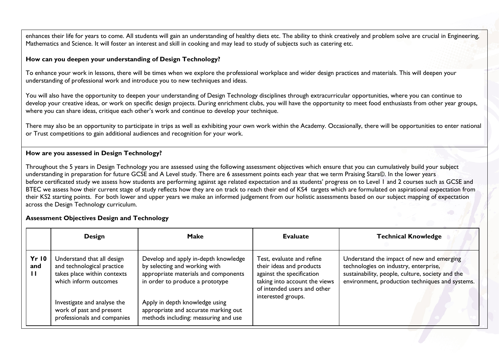enhances their life for years to come. All students will gain an understanding of healthy diets etc. The ability to think creatively and problem solve are crucial in Engineering, Mathematics and Science. It will foster an interest and skill in cooking and may lead to study of subjects such as catering etc.

#### **How can you deepen your understanding of Design Technology?**

To enhance your work in lessons, there will be times when we explore the professional workplace and wider design practices and materials. This will deepen your understanding of professional work and introduce you to new techniques and ideas.

You will also have the opportunity to deepen your understanding of Design Technology disciplines through extracurricular opportunities, where you can continue to develop your creative ideas, or work on specific design projects. During enrichment clubs, you will have the opportunity to meet food enthusiasts from other year groups, where you can share ideas, critique each other's work and continue to develop your technique.

There may also be an opportunity to participate in trips as well as exhibiting your own work within the Academy. Occasionally, there will be opportunities to enter national or Trust competitions to gain additional audiences and recognition for your work.

#### **How are you assessed in Design Technology?**

Throughout the 5 years in Design Technology you are assessed using the following assessment objectives which ensure that you can cumulatively build your subject understanding in preparation for future GCSE and A Level study. There are 6 assessment points each year that we term Praising Stars©. In the lower years before certificated study we assess how students are performing against age related expectation and as students' progress on to Level 1 and 2 courses such as GCSE and BTEC we assess how their current stage of study reflects how they are on track to reach their end of KS4 targets which are formulated on aspirational expectation from their KS2 starting points. For both lower and upper years we make an informed judgement from our holistic assessments based on our subject mapping of expectation across the Design Technology curriculum.

#### **Assessment Objectives Design and Technology**

|                                     | <b>Design</b>                                                                                                                                                                                              | Make                                                                                                                                                                                                                                                               | <b>Evaluate</b>                                                                                                                                                          | <b>Technical Knowledge</b>                                                                                                                                                                |
|-------------------------------------|------------------------------------------------------------------------------------------------------------------------------------------------------------------------------------------------------------|--------------------------------------------------------------------------------------------------------------------------------------------------------------------------------------------------------------------------------------------------------------------|--------------------------------------------------------------------------------------------------------------------------------------------------------------------------|-------------------------------------------------------------------------------------------------------------------------------------------------------------------------------------------|
| <b>Yr 10</b><br>and<br>$\mathbf{H}$ | Understand that all design<br>and technological practice<br>takes place within contexts<br>which inform outcomes<br>Investigate and analyse the<br>work of past and present<br>professionals and companies | Develop and apply in-depth knowledge<br>by selecting and working with<br>appropriate materials and components<br>in order to produce a prototype<br>Apply in depth knowledge using<br>appropriate and accurate marking out<br>methods including: measuring and use | Test, evaluate and refine<br>their ideas and products<br>against the specification<br>taking into account the views<br>of intended users and other<br>interested groups. | Understand the impact of new and emerging<br>technologies on industry, enterprise,<br>sustainability, people, culture, society and the<br>environment, production techniques and systems. |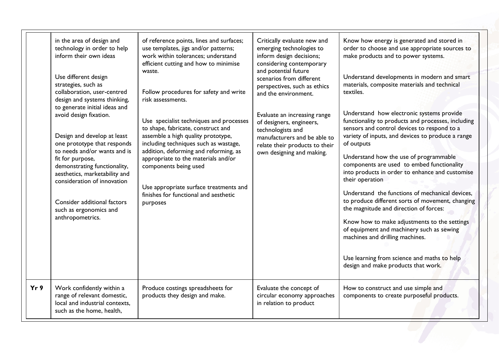|     | in the area of design and<br>technology in order to help<br>inform their own ideas<br>Use different design<br>strategies, such as<br>collaboration, user-centred<br>design and systems thinking,<br>to generate initial ideas and<br>avoid design fixation.<br>Design and develop at least<br>one prototype that responds<br>to needs and/or wants and is<br>fit for purpose,<br>demonstrating functionality,<br>aesthetics, marketability and<br>consideration of innovation<br>Consider additional factors<br>such as ergonomics and<br>anthropometrics. | of reference points, lines and surfaces;<br>use templates, jigs and/or patterns;<br>work within tolerances; understand<br>efficient cutting and how to minimise<br>waste.<br>Follow procedures for safety and write<br>risk assessments.<br>Use specialist techniques and processes<br>to shape, fabricate, construct and<br>assemble a high quality prototype,<br>including techniques such as wastage,<br>addition, deforming and reforming, as<br>appropriate to the materials and/or<br>components being used<br>Use appropriate surface treatments and<br>finishes for functional and aesthetic<br>purposes | Critically evaluate new and<br>emerging technologies to<br>inform design decisions;<br>considering contemporary<br>and potential future<br>scenarios from different<br>perspectives, such as ethics<br>and the environment.<br>Evaluate an increasing range<br>of designers, engineers,<br>technologists and<br>manufacturers and be able to<br>relate their products to their<br>own designing and making. | Know how energy is generated and stored in<br>order to choose and use appropriate sources to<br>make products and to power systems.<br>Understand developments in modern and smart<br>materials, composite materials and technical<br>textiles.<br>Understand how electronic systems provide<br>functionality to products and processes, including<br>sensors and control devices to respond to a<br>variety of inputs, and devices to produce a range<br>of outputs<br>Understand how the use of programmable<br>components are used to embed functionality<br>into products in order to enhance and customise<br>their operation<br>Understand the functions of mechanical devices,<br>to produce different sorts of movement, changing<br>the magnitude and direction of forces:<br>Know how to make adjustments to the settings<br>of equipment and machinery such as sewing<br>machines and drilling machines.<br>Use learning from science and maths to help<br>design and make products that work. |
|-----|------------------------------------------------------------------------------------------------------------------------------------------------------------------------------------------------------------------------------------------------------------------------------------------------------------------------------------------------------------------------------------------------------------------------------------------------------------------------------------------------------------------------------------------------------------|------------------------------------------------------------------------------------------------------------------------------------------------------------------------------------------------------------------------------------------------------------------------------------------------------------------------------------------------------------------------------------------------------------------------------------------------------------------------------------------------------------------------------------------------------------------------------------------------------------------|-------------------------------------------------------------------------------------------------------------------------------------------------------------------------------------------------------------------------------------------------------------------------------------------------------------------------------------------------------------------------------------------------------------|-----------------------------------------------------------------------------------------------------------------------------------------------------------------------------------------------------------------------------------------------------------------------------------------------------------------------------------------------------------------------------------------------------------------------------------------------------------------------------------------------------------------------------------------------------------------------------------------------------------------------------------------------------------------------------------------------------------------------------------------------------------------------------------------------------------------------------------------------------------------------------------------------------------------------------------------------------------------------------------------------------------|
| Yr9 | Work confidently within a<br>range of relevant domestic,<br>local and industrial contexts,<br>such as the home, health,                                                                                                                                                                                                                                                                                                                                                                                                                                    | Produce costings spreadsheets for<br>products they design and make.                                                                                                                                                                                                                                                                                                                                                                                                                                                                                                                                              | Evaluate the concept of<br>circular economy approaches<br>in relation to product                                                                                                                                                                                                                                                                                                                            | How to construct and use simple and<br>components to create purposeful products.                                                                                                                                                                                                                                                                                                                                                                                                                                                                                                                                                                                                                                                                                                                                                                                                                                                                                                                          |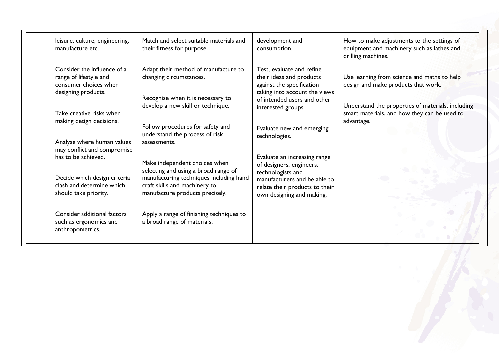| leisure, culture, engineering,<br>manufacture etc.                                                    | Match and select suitable materials and<br>their fitness for purpose.                                                                               | development and<br>consumption.                                                                                                                    | How to make adjustments to the settings of<br>equipment and machinery such as lathes and<br>drilling machines.  |
|-------------------------------------------------------------------------------------------------------|-----------------------------------------------------------------------------------------------------------------------------------------------------|----------------------------------------------------------------------------------------------------------------------------------------------------|-----------------------------------------------------------------------------------------------------------------|
| Consider the influence of a<br>range of lifestyle and<br>consumer choices when<br>designing products. | Adapt their method of manufacture to<br>changing circumstances.<br>Recognise when it is necessary to                                                | Test, evaluate and refine<br>their ideas and products<br>against the specification<br>taking into account the views<br>of intended users and other | Use learning from science and maths to help<br>design and make products that work.                              |
| Take creative risks when<br>making design decisions.                                                  | develop a new skill or technique.<br>Follow procedures for safety and                                                                               | interested groups.<br>Evaluate new and emerging                                                                                                    | Understand the properties of materials, including<br>smart materials, and how they can be used to<br>advantage. |
| Analyse where human values<br>may conflict and compromise<br>has to be achieved.                      | understand the process of risk<br>assessments.<br>Make independent choices when                                                                     | technologies.<br>Evaluate an increasing range<br>of designers, engineers,                                                                          |                                                                                                                 |
| Decide which design criteria<br>clash and determine which<br>should take priority.                    | selecting and using a broad range of<br>manufacturing techniques including hand<br>craft skills and machinery to<br>manufacture products precisely. | technologists and<br>manufacturers and be able to<br>relate their products to their<br>own designing and making.                                   |                                                                                                                 |
| Consider additional factors<br>such as ergonomics and<br>anthropometrics.                             | Apply a range of finishing techniques to<br>a broad range of materials.                                                                             |                                                                                                                                                    |                                                                                                                 |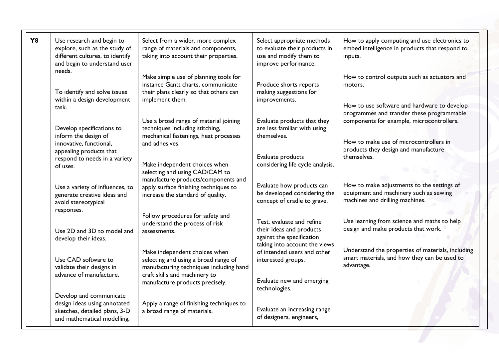| <b>Y8</b> | Use research and begin to<br>explore, such as the study of<br>different cultures, to identify<br>and begin to understand user<br>needs. | Select from a wider, more complex<br>range of materials and components,<br>taking into account their properties.                                                                     | Select appropriate methods<br>to evaluate their products in<br>use and modify them to<br>improve performance.       | How to apply computing and use electronics to<br>embed intelligence in products that respond to<br>inputs.                                           |
|-----------|-----------------------------------------------------------------------------------------------------------------------------------------|--------------------------------------------------------------------------------------------------------------------------------------------------------------------------------------|---------------------------------------------------------------------------------------------------------------------|------------------------------------------------------------------------------------------------------------------------------------------------------|
|           | To identify and solve issues<br>within a design development<br>task.                                                                    | Make simple use of planning tools for<br>instance Gantt charts, communicate<br>their plans clearly so that others can<br>implement them.                                             | Produce shorts reports<br>making suggestions for<br>improvements.                                                   | How to control outputs such as actuators and<br>motors.<br>How to use software and hardware to develop<br>programmes and transfer these programmable |
|           | Develop specifications to<br>inform the design of<br>innovative, functional,<br>appealing products that                                 | Use a broad range of material joining<br>techniques including stitching,<br>mechanical fastenings, heat processes<br>and adhesives.                                                  | Evaluate products that they<br>are less familiar with using<br>themselves.                                          | components for example, microcontrollers.<br>How to make use of microcontrollers in<br>products they design and manufacture                          |
|           | respond to needs in a variety<br>of uses.                                                                                               | Make independent choices when<br>selecting and using CAD/CAM to<br>manufacture products/components and                                                                               | Evaluate products<br>considering life cycle analysis.                                                               | themselves.                                                                                                                                          |
|           | Use a variety of influences, to<br>generate creative ideas and<br>avoid stereotypical                                                   | apply surface finishing techniques to<br>increase the standard of quality.                                                                                                           | Evaluate how products can<br>be developed considering the<br>concept of cradle to grave.                            | How to make adjustments to the settings of<br>equipment and machinery such as sewing<br>machines and drilling machines.                              |
|           | responses.<br>Use 2D and 3D to model and<br>develop their ideas.                                                                        | Follow procedures for safety and<br>understand the process of risk<br>assessments.                                                                                                   | Test, evaluate and refine<br>their ideas and products<br>against the specification<br>taking into account the views | Use learning from science and maths to help<br>design and make products that work.                                                                   |
|           | Use CAD software to<br>validate their designs in<br>advance of manufacture.                                                             | Make independent choices when<br>selecting and using a broad range of<br>manufacturing techniques including hand<br>craft skills and machinery to<br>manufacture products precisely. | of intended users and other<br>interested groups.<br>Evaluate new and emerging                                      | Understand the properties of materials, including<br>smart materials, and how they can be used to<br>advantage.                                      |
|           | Develop and communicate<br>design ideas using annotated<br>sketches, detailed plans, 3-D<br>and mathematical modelling,                 | Apply a range of finishing techniques to<br>a broad range of materials.                                                                                                              | technologies.<br>Evaluate an increasing range<br>of designers, engineers,                                           |                                                                                                                                                      |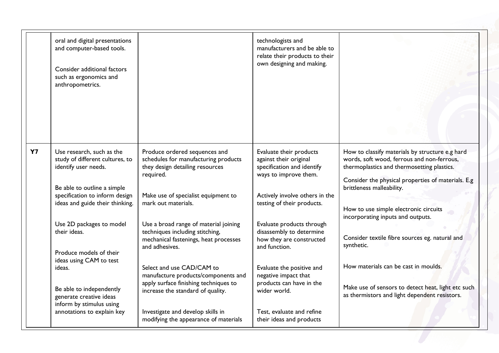|    | oral and digital presentations<br>and computer-based tools.<br>Consider additional factors<br>such as ergonomics and<br>anthropometrics. |                                                                                                                                     | technologists and<br>manufacturers and be able to<br>relate their products to their<br>own designing and making. |                                                                                                                                                                                                                                |
|----|------------------------------------------------------------------------------------------------------------------------------------------|-------------------------------------------------------------------------------------------------------------------------------------|------------------------------------------------------------------------------------------------------------------|--------------------------------------------------------------------------------------------------------------------------------------------------------------------------------------------------------------------------------|
| Y7 | Use research, such as the<br>study of different cultures, to<br>identify user needs.<br>Be able to outline a simple                      | Produce ordered sequences and<br>schedules for manufacturing products<br>they design detailing resources<br>required.               | Evaluate their products<br>against their original<br>specification and identify<br>ways to improve them.         | How to classify materials by structure e.g hard<br>words, soft wood, ferrous and non-ferrous,<br>thermoplastics and thermosetting plastics.<br>Consider the physical properties of materials. E.g<br>brittleness malleability. |
|    | specification to inform design<br>ideas and guide their thinking.                                                                        | Make use of specialist equipment to<br>mark out materials.                                                                          | Actively involve others in the<br>testing of their products.                                                     | How to use simple electronic circuits<br>incorporating inputs and outputs.                                                                                                                                                     |
|    | Use 2D packages to model<br>their ideas.<br>Produce models of their                                                                      | Use a broad range of material joining<br>techniques including stitching,<br>mechanical fastenings, heat processes<br>and adhesives. | Evaluate products through<br>disassembly to determine<br>how they are constructed<br>and function.               | Consider textile fibre sources eg. natural and<br>synthetic.                                                                                                                                                                   |
|    | ideas using CAM to test<br>ideas.                                                                                                        | Select and use CAD/CAM to<br>manufacture products/components and<br>apply surface finishing techniques to                           | Evaluate the positive and<br>negative impact that<br>products can have in the                                    | How materials can be cast in moulds.                                                                                                                                                                                           |
|    | Be able to independently<br>generate creative ideas<br>inform by stimulus using<br>annotations to explain key                            | increase the standard of quality.<br>Investigate and develop skills in<br>modifying the appearance of materials                     | wider world.<br>Test, evaluate and refine<br>their ideas and products                                            | Make use of sensors to detect heat, light etc such<br>as thermistors and light dependent resistors.                                                                                                                            |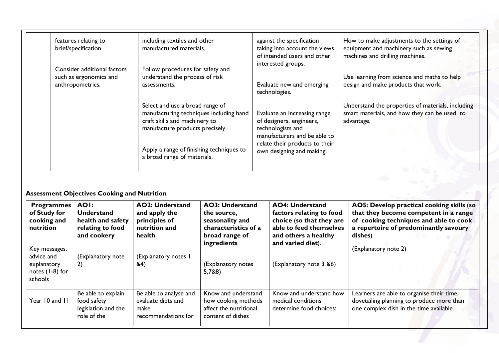|  | features relating to<br>brief/specification.                              | including textiles and other<br>manufactured materials.                                                                                                                                                                   | against the specification<br>taking into account the views<br>of intended users and other<br>interested groups.                                                              | How to make adjustments to the settings of<br>equipment and machinery such as sewing<br>machines and drilling machines. |
|--|---------------------------------------------------------------------------|---------------------------------------------------------------------------------------------------------------------------------------------------------------------------------------------------------------------------|------------------------------------------------------------------------------------------------------------------------------------------------------------------------------|-------------------------------------------------------------------------------------------------------------------------|
|  | Consider additional factors<br>such as ergonomics and<br>anthropometrics. | Follow procedures for safety and<br>understand the process of risk<br>assessments.                                                                                                                                        | Evaluate new and emerging<br>technologies.                                                                                                                                   | Use learning from science and maths to help<br>design and make products that work.                                      |
|  |                                                                           | Select and use a broad range of<br>manufacturing techniques including hand<br>craft skills and machinery to<br>manufacture products precisely.<br>Apply a range of finishing techniques to<br>a broad range of materials. | Evaluate an increasing range<br>of designers, engineers,<br>technologists and<br>manufacturers and be able to<br>relate their products to their<br>own designing and making. | Understand the properties of materials, including<br>smart materials, and how they can be used to<br>advantage.         |
|  |                                                                           |                                                                                                                                                                                                                           |                                                                                                                                                                              |                                                                                                                         |

# **Assessment Objectives Cooking and Nutrition**

| <b>Programmes</b><br>of Study for<br>cooking and<br>nutrition              | AOI:<br><b>Understand</b><br>health and safety<br>relating to food<br>and cookery | <b>AO2: Understand</b><br>and apply the<br>principles of<br>nutrition and<br>health | <b>AO3: Understand</b><br>the source,<br>seasonality and<br>characteristics of a<br>broad range of | <b>AO4: Understand</b><br>factors relating to food<br>choice (so that they are<br>able to feed themselves<br>and others a healthy | AO5: Develop practical cooking skills (so<br>that they become competent in a range<br>of cooking techniques and able to cook<br>a repertoire of predominantly savoury<br>dishes) |
|----------------------------------------------------------------------------|-----------------------------------------------------------------------------------|-------------------------------------------------------------------------------------|----------------------------------------------------------------------------------------------------|-----------------------------------------------------------------------------------------------------------------------------------|----------------------------------------------------------------------------------------------------------------------------------------------------------------------------------|
| Key messages,<br>advice and<br>explanatory<br>notes $(1-8)$ for<br>schools | (Explanatory note<br>2)                                                           | (Explanatory notes 1<br><b>&amp;4</b> )                                             | ingredients<br>(Explanatory notes<br>5,7&8)                                                        | and varied diet).<br>(Explanatory note 3 &6)                                                                                      | (Explanatory note 2)                                                                                                                                                             |
| Year 10 and 11                                                             | Be able to explain<br>food safety<br>legislation and the<br>role of the           | Be able to analyse and<br>evaluate diets and<br>make<br>recommendations for         | Know and understand<br>how cooking methods<br>affect the nutritional<br>content of dishes          | Know and understand how<br>medical conditions<br>determine food choices:                                                          | Learners are able to organise their time,<br>dovetailing planning to produce more than<br>one complex dish in the time available.                                                |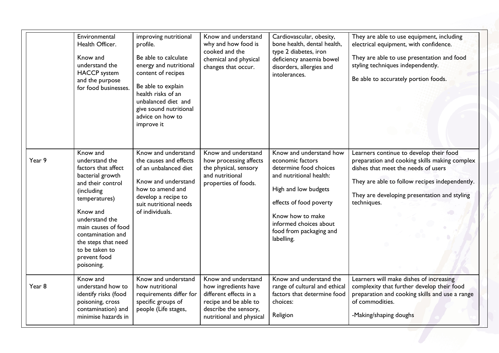|        | Environmental<br>Health Officer.<br>Know and<br>understand the<br><b>HACCP</b> system<br>and the purpose<br>for food businesses.                                                                                                                                           | improving nutritional<br>profile.<br>Be able to calculate<br>energy and nutritional<br>content of recipes<br>Be able to explain<br>health risks of an<br>unbalanced diet and<br>give sound nutritional<br>advice on how to<br>improve it | Know and understand<br>why and how food is<br>cooked and the<br>chemical and physical<br>changes that occur.                                        | Cardiovascular, obesity,<br>bone health, dental health,<br>type 2 diabetes, iron<br>deficiency anaemia bowel<br>disorders, allergies and<br>intolerances.                                                                                  | They are able to use equipment, including<br>electrical equipment, with confidence.<br>They are able to use presentation and food<br>styling techniques independently.<br>Be able to accurately portion foods.                                   |
|--------|----------------------------------------------------------------------------------------------------------------------------------------------------------------------------------------------------------------------------------------------------------------------------|------------------------------------------------------------------------------------------------------------------------------------------------------------------------------------------------------------------------------------------|-----------------------------------------------------------------------------------------------------------------------------------------------------|--------------------------------------------------------------------------------------------------------------------------------------------------------------------------------------------------------------------------------------------|--------------------------------------------------------------------------------------------------------------------------------------------------------------------------------------------------------------------------------------------------|
| Year 9 | Know and<br>understand the<br>factors that affect<br>bacterial growth<br>and their control<br>(including<br>temperatures)<br>Know and<br>understand the<br>main causes of food<br>contamination and<br>the steps that need<br>to be taken to<br>prevent food<br>poisoning. | Know and understand<br>the causes and effects<br>of an unbalanced diet<br>Know and understand<br>how to amend and<br>develop a recipe to<br>suit nutritional needs<br>of individuals.                                                    | Know and understand<br>how processing affects<br>the physical, sensory<br>and nutritional<br>properties of foods.                                   | Know and understand how<br>economic factors<br>determine food choices<br>and nutritional health:<br>High and low budgets<br>effects of food poverty<br>Know how to make<br>informed choices about<br>food from packaging and<br>labelling. | Learners continue to develop their food<br>preparation and cooking skills making complex<br>dishes that meet the needs of users<br>They are able to follow recipes independently.<br>They are developing presentation and styling<br>techniques. |
| Year 8 | Know and<br>understand how to<br>identify risks (food<br>poisoning, cross<br>contamination) and<br>minimise hazards in                                                                                                                                                     | Know and understand<br>how nutritional<br>requirements differ for<br>specific groups of<br>people (Life stages,                                                                                                                          | Know and understand<br>how ingredients have<br>different effects in a<br>recipe and be able to<br>describe the sensory,<br>nutritional and physical | Know and understand the<br>range of cultural and ethical<br>factors that determine food<br>choices:<br>Religion                                                                                                                            | Learners will make dishes of increasing<br>complexity that further develop their food<br>preparation and cooking skills and use a range<br>of commodities.<br>-Making/shaping doughs                                                             |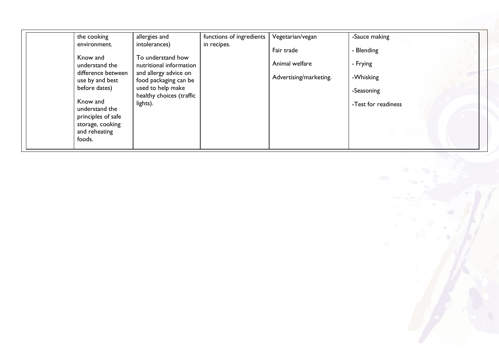| the cooking                                                                                     | allergies and                                  | functions of ingredients | Vegetarian/vegan       | -Sauce making       |
|-------------------------------------------------------------------------------------------------|------------------------------------------------|--------------------------|------------------------|---------------------|
| environment.                                                                                    | intolerances)                                  | in recipes.              | Fair trade             | - Blending          |
| Know and<br>understand the                                                                      | To understand how<br>nutritional information   |                          | Animal welfare         | - Frying            |
| difference between<br>use by and best                                                           | and allergy advice on<br>food packaging can be |                          | Advertising/marketing. | -Whisking           |
| before dates)                                                                                   | used to help make                              |                          |                        | -Seasoning          |
| Know and<br>understand the<br>principles of safe<br>storage, cooking<br>and reheating<br>foods. | healthy choices (traffic<br>lights).           |                          |                        | -Test for readiness |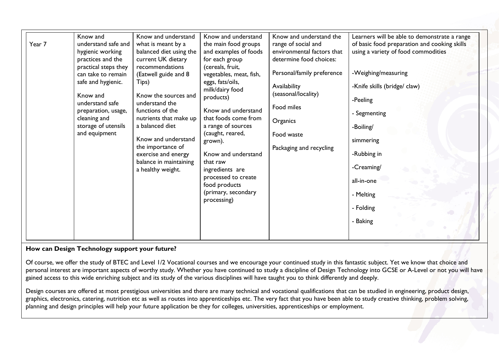| Year 7 | Know and<br>understand safe and<br>hygienic working<br>practices and the<br>practical steps they<br>can take to remain<br>safe and hygienic.<br>Know and<br>understand safe<br>preparation, usage,<br>cleaning and<br>storage of utensils<br>and equipment | Know and understand<br>what is meant by a<br>balanced diet using the<br>current UK dietary<br>recommendations<br>(Eatwell guide and 8<br>Tips)<br>Know the sources and<br>understand the<br>functions of the<br>nutrients that make up<br>a balanced diet<br>Know and understand<br>the importance of<br>exercise and energy<br>balance in maintaining<br>a healthy weight. | Know and understand<br>the main food groups<br>and examples of foods<br>for each group<br>(cereals, fruit,<br>vegetables, meat, fish,<br>eggs, fats/oils,<br>milk/dairy food<br>products)<br>Know and understand<br>that foods come from<br>a range of sources<br>(caught, reared,<br>grown).<br>Know and understand<br>that raw<br>ingredients are<br>processed to create<br>food products<br>(primary, secondary<br>processing) | Know and understand the<br>range of social and<br>environmental factors that<br>determine food choices:<br>Personal/family preference<br>Availability<br>(seasonal/locality)<br>Food miles<br>Organics<br>Food waste<br>Packaging and recycling | Learners will be able to demonstrate a range<br>of basic food preparation and cooking skills<br>using a variety of food commodities<br>-Weighing/measuring<br>-Knife skills (bridge/ claw)<br>-Peeling<br>- Segmenting<br>-Boiling/<br>simmering<br>-Rubbing in<br>-Creaming/<br>all-in-one<br>- Melting<br>- Folding<br>- Baking |
|--------|------------------------------------------------------------------------------------------------------------------------------------------------------------------------------------------------------------------------------------------------------------|-----------------------------------------------------------------------------------------------------------------------------------------------------------------------------------------------------------------------------------------------------------------------------------------------------------------------------------------------------------------------------|-----------------------------------------------------------------------------------------------------------------------------------------------------------------------------------------------------------------------------------------------------------------------------------------------------------------------------------------------------------------------------------------------------------------------------------|-------------------------------------------------------------------------------------------------------------------------------------------------------------------------------------------------------------------------------------------------|-----------------------------------------------------------------------------------------------------------------------------------------------------------------------------------------------------------------------------------------------------------------------------------------------------------------------------------|
|--------|------------------------------------------------------------------------------------------------------------------------------------------------------------------------------------------------------------------------------------------------------------|-----------------------------------------------------------------------------------------------------------------------------------------------------------------------------------------------------------------------------------------------------------------------------------------------------------------------------------------------------------------------------|-----------------------------------------------------------------------------------------------------------------------------------------------------------------------------------------------------------------------------------------------------------------------------------------------------------------------------------------------------------------------------------------------------------------------------------|-------------------------------------------------------------------------------------------------------------------------------------------------------------------------------------------------------------------------------------------------|-----------------------------------------------------------------------------------------------------------------------------------------------------------------------------------------------------------------------------------------------------------------------------------------------------------------------------------|

# **How can Design Technology support your future?**

Of course, we offer the study of BTEC and Level 1/2 Vocational courses and we encourage your continued study in this fantastic subject. Yet we know that choice and personal interest are important aspects of worthy study. Whether you have continued to study a discipline of Design Technology into GCSE or A-Level or not you will have gained access to this wide enriching subject and its study of the various disciplines will have taught you to think differently and deeply.

Design courses are offered at most prestigious universities and there are many technical and vocational qualifications that can be studied in engineering, product design, graphics, electronics, catering, nutrition etc as well as routes into apprenticeships etc. The very fact that you have been able to study creative thinking, problem solving, planning and design principles will help your future application be they for colleges, universities, apprenticeships or employment.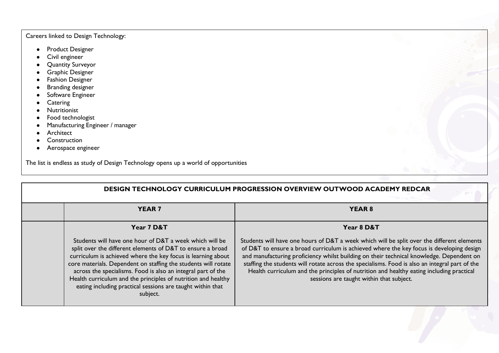# Careers linked to Design Technology:

- Product Designer
- Civil engineer
- Quantity Surveyor
- Graphic Designer
- Fashion Designer
- Branding designer
- Software Engineer
- Catering
- Nutritionist
- Food technologist
- Manufacturing Engineer / manager
- Architect
- Construction
- Aerospace engineer

The list is endless as study of Design Technology opens up a world of opportunities

| <b>DESIGN TECHNOLOGY CURRICULUM PROGRESSION OVERVIEW OUTWOOD ACADEMY REDCAR</b> |                                                                                                                                                                                                                                                                                                                                                                                                                                                                    |                                                                                                                                                                                                                                                                                                                                                                                                                                                                                                                              |  |  |
|---------------------------------------------------------------------------------|--------------------------------------------------------------------------------------------------------------------------------------------------------------------------------------------------------------------------------------------------------------------------------------------------------------------------------------------------------------------------------------------------------------------------------------------------------------------|------------------------------------------------------------------------------------------------------------------------------------------------------------------------------------------------------------------------------------------------------------------------------------------------------------------------------------------------------------------------------------------------------------------------------------------------------------------------------------------------------------------------------|--|--|
|                                                                                 | <b>YEAR 7</b>                                                                                                                                                                                                                                                                                                                                                                                                                                                      | <b>YEAR 8</b>                                                                                                                                                                                                                                                                                                                                                                                                                                                                                                                |  |  |
|                                                                                 | Year 7 D&T                                                                                                                                                                                                                                                                                                                                                                                                                                                         | Year 8 D&T                                                                                                                                                                                                                                                                                                                                                                                                                                                                                                                   |  |  |
|                                                                                 | Students will have one hour of D&T a week which will be<br>split over the different elements of D&T to ensure a broad<br>curriculum is achieved where the key focus is learning about<br>core materials. Dependent on staffing the students will rotate<br>across the specialisms. Food is also an integral part of the<br>Health curriculum and the principles of nutrition and healthy<br>eating including practical sessions are taught within that<br>subject. | Students will have one hours of D&T a week which will be split over the different elements<br>of D&T to ensure a broad curriculum is achieved where the key focus is developing design<br>and manufacturing proficiency whilst building on their technical knowledge. Dependent on<br>staffing the students will rotate across the specialisms. Food is also an integral part of the<br>Health curriculum and the principles of nutrition and healthy eating including practical<br>sessions are taught within that subject. |  |  |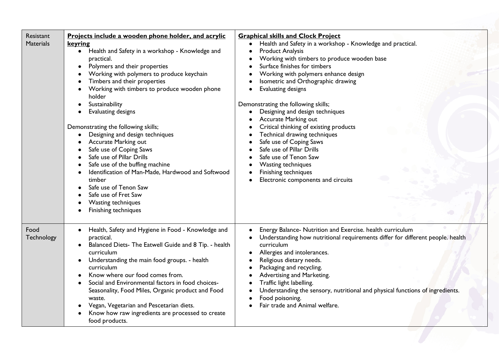| Resistant<br><b>Materials</b> | Projects include a wooden phone holder, and acrylic<br>keyring<br>• Health and Safety in a workshop - Knowledge and<br>practical.<br>Polymers and their properties<br>$\bullet$<br>Working with polymers to produce keychain<br>Timbers and their properties<br>Working with timbers to produce wooden phone<br>holder<br>Sustainability<br>Evaluating designs<br>Demonstrating the following skills;<br>Designing and design techniques<br>Accurate Marking out<br>Safe use of Coping Saws<br>Safe use of Pillar Drills<br>Safe use of the buffing machine<br>Identification of Man-Made, Hardwood and Softwood<br>timber<br>Safe use of Tenon Saw<br>Safe use of Fret Saw<br>Wasting techniques<br>Finishing techniques | <b>Graphical skills and Clock Project</b><br>Health and Safety in a workshop - Knowledge and practical.<br><b>Product Analysis</b><br>Working with timbers to produce wooden base<br>Surface finishes for timbers<br>Working with polymers enhance design<br>Isometric and Orthographic drawing<br>Evaluating designs<br>Demonstrating the following skills;<br>Designing and design techniques<br>Accurate Marking out<br>Critical thinking of existing products<br>Technical drawing techniques<br>Safe use of Coping Saws<br>Safe use of Pillar Drills<br>Safe use of Tenon Saw<br>Wasting techniques<br>Finishing techniques<br>Electronic components and circuits |
|-------------------------------|---------------------------------------------------------------------------------------------------------------------------------------------------------------------------------------------------------------------------------------------------------------------------------------------------------------------------------------------------------------------------------------------------------------------------------------------------------------------------------------------------------------------------------------------------------------------------------------------------------------------------------------------------------------------------------------------------------------------------|------------------------------------------------------------------------------------------------------------------------------------------------------------------------------------------------------------------------------------------------------------------------------------------------------------------------------------------------------------------------------------------------------------------------------------------------------------------------------------------------------------------------------------------------------------------------------------------------------------------------------------------------------------------------|
| Food<br>Technology            | Health, Safety and Hygiene in Food - Knowledge and<br>$\bullet$<br>practical.<br>Balanced Diets- The Eatwell Guide and 8 Tip. - health<br>curriculum<br>Understanding the main food groups. - health<br>curriculum<br>Know where our food comes from.<br>Social and Environmental factors in food choices-<br>Seasonality, Food Miles, Organic product and Food<br>waste.<br>Vegan, Vegetarian and Pescetarian diets.<br>Know how raw ingredients are processed to create<br>food products.                                                                                                                                                                                                                               | Energy Balance- Nutrition and Exercise. health curriculum<br>Understanding how nutritional requirements differ for different people. health<br>curriculum<br>Allergies and intolerances.<br>Religious dietary needs.<br>Packaging and recycling.<br>Advertising and Marketing.<br>Traffic light labelling.<br>Understanding the sensory, nutritional and physical functions of ingredients.<br>Food poisoning.<br>Fair trade and Animal welfare.                                                                                                                                                                                                                       |